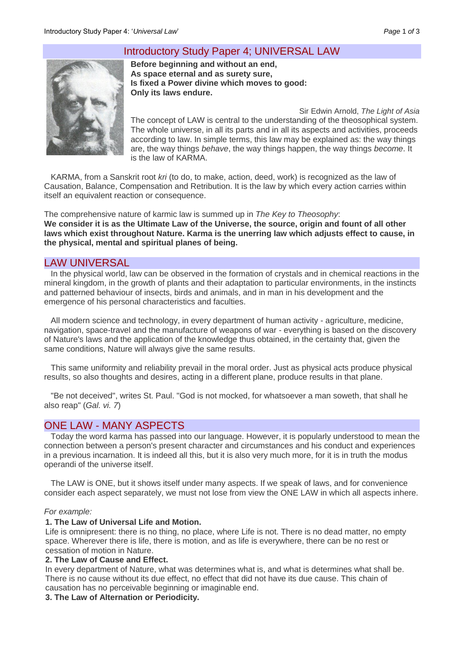# Introductory Study Paper 4; UNIVERSAL LAW



**Before beginning and without an end, As space eternal and as surety sure, Is fixed a Power divine which moves to good: Only its laws endure.**

Sir Edwin Arnold, *The Light of Asia* The concept of LAW is central to the understanding of the theosophical system. The whole universe, in all its parts and in all its aspects and activities, proceeds according to law. In simple terms, this law may be explained as: the way things are, the way things *behave*, the way things happen, the way things *become*. It is the law of KARMA.

KARMA, from a Sanskrit root *kri* (to do, to make, action, deed, work) is recognized as the law of Causation, Balance, Compensation and Retribution. It is the law by which every action carries within itself an equivalent reaction or consequence.

The comprehensive nature of karmic law is summed up in *The Key to Theosophy*: **We consider it is as the Ultimate Law of the Universe, the source, origin and fount of all other laws which exist throughout Nature. Karma is the unerring law which adjusts effect to cause, in the physical, mental and spiritual planes of being.**

## LAW UNIVERSAL

In the physical world, law can be observed in the formation of crystals and in chemical reactions in the mineral kingdom, in the growth of plants and their adaptation to particular environments, in the instincts and patterned behaviour of insects, birds and animals, and in man in his development and the emergence of his personal characteristics and faculties.

All modern science and technology, in every department of human activity - agriculture, medicine, navigation, space-travel and the manufacture of weapons of war - everything is based on the discovery of Nature's laws and the application of the knowledge thus obtained, in the certainty that, given the same conditions, Nature will always give the same results.

This same uniformity and reliability prevail in the moral order. Just as physical acts produce physical results, so also thoughts and desires, acting in a different plane, produce results in that plane.

"Be not deceived", writes St. Paul. "God is not mocked, for whatsoever a man soweth, that shall he also reap" (*Gal. vi. 7*)

# ONE LAW - MANY ASPECTS

Today the word karma has passed into our language. However, it is popularly understood to mean the connection between a person's present character and circumstances and his conduct and experiences in a previous incarnation. It is indeed all this, but it is also very much more, for it is in truth the modus operandi of the universe itself.

The LAW is ONE, but it shows itself under many aspects. If we speak of laws, and for convenience consider each aspect separately, we must not lose from view the ONE LAW in which all aspects inhere.

### *For example:*

### **1. The Law of Universal Life and Motion.**

Life is omnipresent: there is no thing, no place, where Life is not. There is no dead matter, no empty space. Wherever there is life, there is motion, and as life is everywhere, there can be no rest or cessation of motion in Nature.

### **2. The Law of Cause and Effect.**

In every department of Nature, what was determines what is, and what is determines what shall be. There is no cause without its due effect, no effect that did not have its due cause. This chain of causation has no perceivable beginning or imaginable end.

### **3. The Law of Alternation or Periodicity.**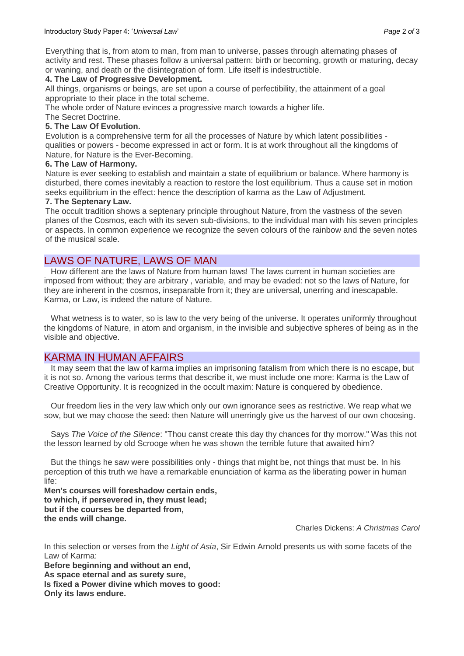Everything that is, from atom to man, from man to universe, passes through alternating phases of activity and rest. These phases follow a universal pattern: birth or becoming, growth or maturing, decay or waning, and death or the disintegration of form. Life itself is indestructible.

## **4. The Law of Progressive Development.**

All things, organisms or beings, are set upon a course of perfectibility, the attainment of a goal appropriate to their place in the total scheme.

The whole order of Nature evinces a progressive march towards a higher life.

# The Secret Doctrine.

# **5. The Law Of Evolution.**

Evolution is a comprehensive term for all the processes of Nature by which latent possibilities qualities or powers - become expressed in act or form. It is at work throughout all the kingdoms of Nature, for Nature is the Ever-Becoming.

## **6. The Law of Harmony.**

Nature is ever seeking to establish and maintain a state of equilibrium or balance. Where harmony is disturbed, there comes inevitably a reaction to restore the lost equilibrium. Thus a cause set in motion seeks equilibrium in the effect: hence the description of karma as the Law of Adjustment.

## **7. The Septenary Law.**

The occult tradition shows a septenary principle throughout Nature, from the vastness of the seven planes of the Cosmos, each with its seven sub-divisions, to the individual man with his seven principles or aspects. In common experience we recognize the seven colours of the rainbow and the seven notes of the musical scale.

# LAWS OF NATURE, LAWS OF MAN

How different are the laws of Nature from human laws! The laws current in human societies are imposed from without; they are arbitrary , variable, and may be evaded: not so the laws of Nature, for they are inherent in the cosmos, inseparable from it; they are universal, unerring and inescapable. Karma, or Law, is indeed the nature of Nature.

What wetness is to water, so is law to the very being of the universe. It operates uniformly throughout the kingdoms of Nature, in atom and organism, in the invisible and subjective spheres of being as in the visible and objective.

# KARMA IN HUMAN AFFAIRS

It may seem that the law of karma implies an imprisoning fatalism from which there is no escape, but it is not so. Among the various terms that describe it, we must include one more: Karma is the Law of Creative Opportunity. It is recognized in the occult maxim: Nature is conquered by obedience.

Our freedom lies in the very law which only our own ignorance sees as restrictive. We reap what we sow, but we may choose the seed: then Nature will unerringly give us the harvest of our own choosing.

Says *The Voice of the Silence*: "Thou canst create this day thy chances for thy morrow." Was this not the lesson learned by old Scrooge when he was shown the terrible future that awaited him?

But the things he saw were possibilities only - things that might be, not things that must be. In his perception of this truth we have a remarkable enunciation of karma as the liberating power in human life:

**Men's courses will foreshadow certain ends, to which, if persevered in, they must lead; but if the courses be departed from, the ends will change.** 

Charles Dickens: *A Christmas Carol*

In this selection or verses from the *Light of Asia*, Sir Edwin Arnold presents us with some facets of the Law of Karma:

**Before beginning and without an end, As space eternal and as surety sure, Is fixed a Power divine which moves to good: Only its laws endure.**